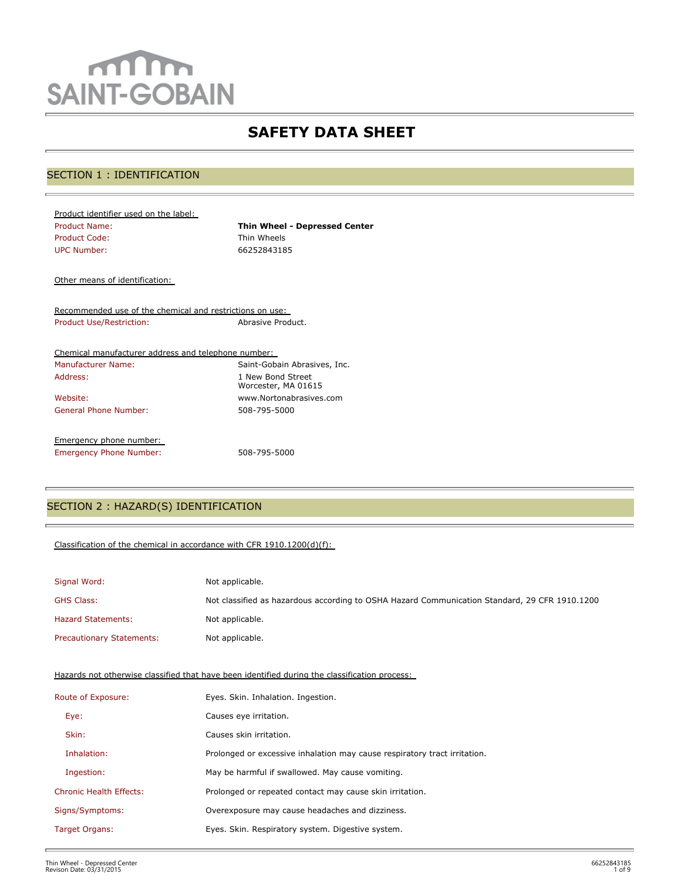# $m$ m **SAINT-GOBAIN**

# **SAFETY DATA SHEET**

# SECTION 1 : IDENTIFICATION

| Product identifier used on the label: |                                      |
|---------------------------------------|--------------------------------------|
| <b>Product Name:</b>                  | <b>Thin Wheel - Depressed Center</b> |
| Product Code:                         | Thin Wheels                          |
| UPC Number:                           | 66252843185                          |

Other means of identification:

Recommended use of the chemical and restrictions on use: Product Use/Restriction: Abrasive Product.

| Chemical manufacturer address and telephone number: |                                          |
|-----------------------------------------------------|------------------------------------------|
| <b>Manufacturer Name:</b>                           | Saint-Gobain Abrasives, Inc.             |
| Address:                                            | 1 New Bond Street<br>Worcester, MA 01615 |
| Website:                                            | www.Nortonabrasives.com                  |
| General Phone Number:                               | 508-795-5000                             |
| Emergency phone number:                             |                                          |
| <b>Emergency Phone Number:</b>                      | 508-795-5000                             |

# SECTION 2 : HAZARD(S) IDENTIFICATION

#### Classification of the chemical in accordance with CFR 1910.1200(d)(f):

| Signal Word:                     | Not applicable.                                                                               |
|----------------------------------|-----------------------------------------------------------------------------------------------|
| <b>GHS Class:</b>                | Not classified as hazardous according to OSHA Hazard Communication Standard, 29 CFR 1910.1200 |
| <b>Hazard Statements:</b>        | Not applicable.                                                                               |
| <b>Precautionary Statements:</b> | Not applicable.                                                                               |

Hazards not otherwise classified that have been identified during the classification process:

| Route of Exposure:             | Eyes. Skin. Inhalation. Ingestion.                                        |
|--------------------------------|---------------------------------------------------------------------------|
| Eye:                           | Causes eye irritation.                                                    |
| Skin:                          | Causes skin irritation.                                                   |
| Inhalation:                    | Prolonged or excessive inhalation may cause respiratory tract irritation. |
| Ingestion:                     | May be harmful if swallowed. May cause vomiting.                          |
| <b>Chronic Health Effects:</b> | Prolonged or repeated contact may cause skin irritation.                  |
| Signs/Symptoms:                | Overexposure may cause headaches and dizziness.                           |
| Target Organs:                 | Eyes. Skin. Respiratory system. Digestive system.                         |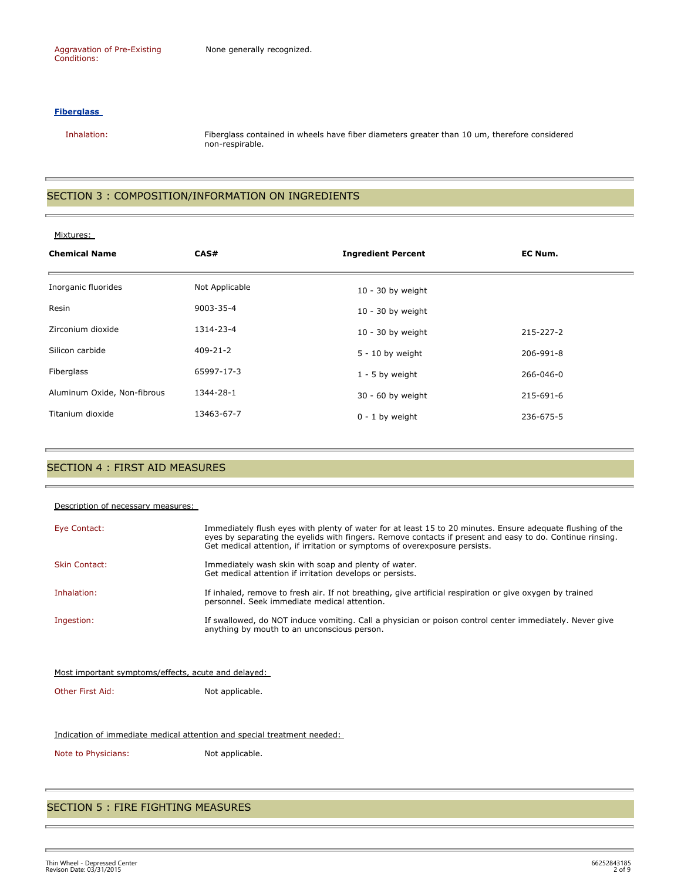#### **Fiberglass**

 Inhalation: Fiberglass contained in wheels have fiber diameters greater than 10 um, therefore considered non-respirable.

#### SECTION 3 : COMPOSITION/INFORMATION ON INGREDIENTS

| Mixtures: |
|-----------|
|-----------|

| <b>Chemical Name</b>        | CAS#           | <b>Ingredient Percent</b> | EC Num.   |
|-----------------------------|----------------|---------------------------|-----------|
| Inorganic fluorides         | Not Applicable | $10 - 30$ by weight       |           |
| Resin                       | 9003-35-4      | $10 - 30$ by weight       |           |
| Zirconium dioxide           | 1314-23-4      | $10 - 30$ by weight       | 215-227-2 |
| Silicon carbide             | $409 - 21 - 2$ | $5 - 10$ by weight        | 206-991-8 |
| Fiberglass                  | 65997-17-3     | $1 - 5$ by weight         | 266-046-0 |
| Aluminum Oxide, Non-fibrous | 1344-28-1      | 30 - 60 by weight         | 215-691-6 |
| Titanium dioxide            | 13463-67-7     | $0 - 1$ by weight         | 236-675-5 |

#### SECTION 4 : FIRST AID MEASURES

| Description of necessary measures:                  |                                                                                                                                                                                                                                                                                                       |  |  |
|-----------------------------------------------------|-------------------------------------------------------------------------------------------------------------------------------------------------------------------------------------------------------------------------------------------------------------------------------------------------------|--|--|
| Eye Contact:                                        | Immediately flush eyes with plenty of water for at least 15 to 20 minutes. Ensure adequate flushing of the<br>eyes by separating the eyelids with fingers. Remove contacts if present and easy to do. Continue rinsing.<br>Get medical attention, if irritation or symptoms of overexposure persists. |  |  |
| <b>Skin Contact:</b>                                | Immediately wash skin with soap and plenty of water.<br>Get medical attention if irritation develops or persists.                                                                                                                                                                                     |  |  |
| Inhalation:                                         | If inhaled, remove to fresh air. If not breathing, give artificial respiration or give oxygen by trained<br>personnel. Seek immediate medical attention.                                                                                                                                              |  |  |
| Ingestion:                                          | If swallowed, do NOT induce vomiting. Call a physician or poison control center immediately. Never give<br>anything by mouth to an unconscious person.                                                                                                                                                |  |  |
|                                                     |                                                                                                                                                                                                                                                                                                       |  |  |
| Most important symptoms/effects, acute and delayed: |                                                                                                                                                                                                                                                                                                       |  |  |

Other First Aid: Not applicable.

#### Indication of immediate medical attention and special treatment needed:

Note to Physicians: Not applicable.

#### SECTION 5 : FIRE FIGHTING MEASURES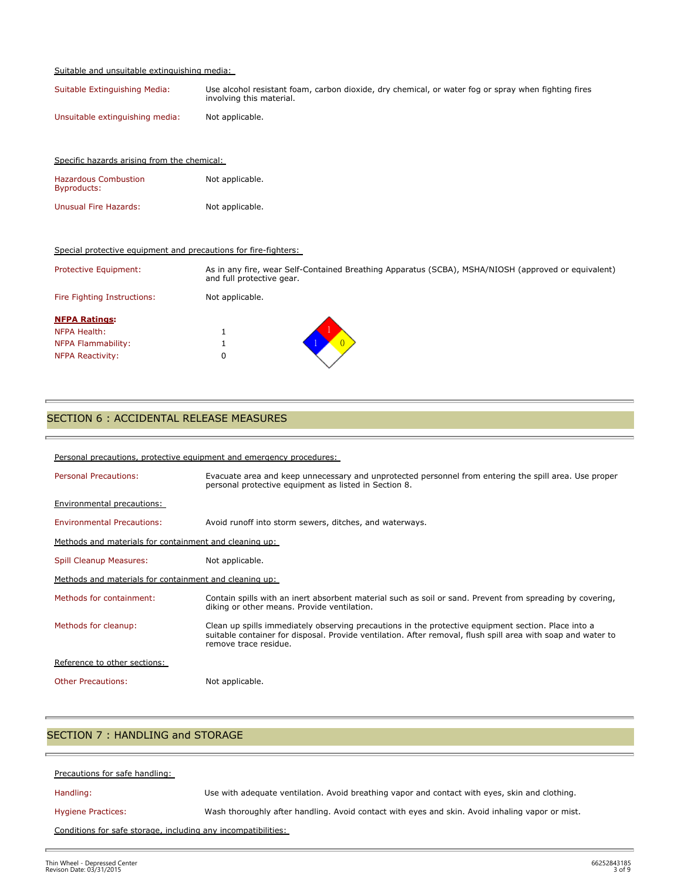#### Suitable and unsuitable extinguishing media:

Specific hazards arising from the chemical:

| Suitable Extinguishing Media:   | Use alcohol resistant foam, carbon dioxide, dry chemical, or water fog or spray when fighting fires<br>involving this material. |
|---------------------------------|---------------------------------------------------------------------------------------------------------------------------------|
| Unsuitable extinguishing media: | Not applicable.                                                                                                                 |

| <b>Hazardous Combustion</b><br><b>Byproducts:</b>               | Not applicable.                                                                                                                  |
|-----------------------------------------------------------------|----------------------------------------------------------------------------------------------------------------------------------|
| <b>Unusual Fire Hazards:</b>                                    | Not applicable.                                                                                                                  |
| Special protective equipment and precautions for fire-fighters: |                                                                                                                                  |
| Protective Equipment:                                           | As in any fire, wear Self-Contained Breathing Apparatus (SCBA), MSHA/NIOSH (approved or equivalent)<br>and full protective gear. |
| Fire Fighting Instructions:                                     | Not applicable.                                                                                                                  |
| <b>NFPA Ratings:</b>                                            |                                                                                                                                  |
| NFPA Health:                                                    | Ŧ.                                                                                                                               |
| NFPA Flammability:                                              |                                                                                                                                  |
| <b>NFPA Reactivity:</b>                                         | 0                                                                                                                                |

# SECTION 6 : ACCIDENTAL RELEASE MEASURES

| Personal precautions, protective equipment and emergency procedures: |                                                                                                                                                                                                                                              |  |  |  |
|----------------------------------------------------------------------|----------------------------------------------------------------------------------------------------------------------------------------------------------------------------------------------------------------------------------------------|--|--|--|
| <b>Personal Precautions:</b>                                         | Evacuate area and keep unnecessary and unprotected personnel from entering the spill area. Use proper<br>personal protective equipment as listed in Section 8.                                                                               |  |  |  |
| <b>Environmental precautions:</b>                                    |                                                                                                                                                                                                                                              |  |  |  |
| <b>Environmental Precautions:</b>                                    | Avoid runoff into storm sewers, ditches, and waterways.                                                                                                                                                                                      |  |  |  |
| Methods and materials for containment and cleaning up:               |                                                                                                                                                                                                                                              |  |  |  |
| Spill Cleanup Measures:                                              | Not applicable.                                                                                                                                                                                                                              |  |  |  |
| Methods and materials for containment and cleaning up:               |                                                                                                                                                                                                                                              |  |  |  |
| Methods for containment:                                             | Contain spills with an inert absorbent material such as soil or sand. Prevent from spreading by covering,<br>diking or other means. Provide ventilation.                                                                                     |  |  |  |
| Methods for cleanup:                                                 | Clean up spills immediately observing precautions in the protective equipment section. Place into a<br>suitable container for disposal. Provide ventilation. After removal, flush spill area with soap and water to<br>remove trace residue. |  |  |  |
| Reference to other sections:                                         |                                                                                                                                                                                                                                              |  |  |  |
| <b>Other Precautions:</b>                                            | Not applicable.                                                                                                                                                                                                                              |  |  |  |

# SECTION 7 : HANDLING and STORAGE

| Precautions for safe handling:                                |                                                                                                 |  |  |
|---------------------------------------------------------------|-------------------------------------------------------------------------------------------------|--|--|
| Handling:                                                     | Use with adequate ventilation. Avoid breathing vapor and contact with eyes, skin and clothing.  |  |  |
| <b>Hygiene Practices:</b>                                     | Wash thoroughly after handling. Avoid contact with eyes and skin. Avoid inhaling vapor or mist. |  |  |
| Conditions for safe storage, including any incompatibilities: |                                                                                                 |  |  |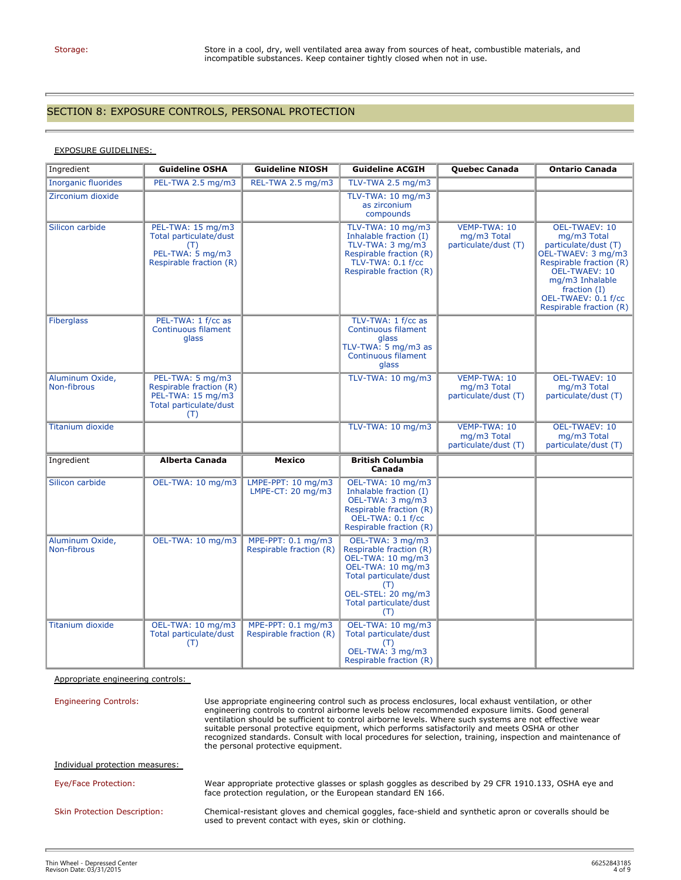t.

# SECTION 8: EXPOSURE CONTROLS, PERSONAL PROTECTION

# EXPOSURE GUIDELINES:

| Ingredient                     | <b>Guideline OSHA</b>                                                                             | <b>Guideline NIOSH</b>                        | <b>Guideline ACGIH</b>                                                                                                                                                        | Quebec Canada                                              | <b>Ontario Canada</b>                                                                                                                                                                                                  |
|--------------------------------|---------------------------------------------------------------------------------------------------|-----------------------------------------------|-------------------------------------------------------------------------------------------------------------------------------------------------------------------------------|------------------------------------------------------------|------------------------------------------------------------------------------------------------------------------------------------------------------------------------------------------------------------------------|
| <b>Inorganic fluorides</b>     | PEL-TWA 2.5 mg/m3                                                                                 | REL-TWA 2.5 mg/m3                             | TLV-TWA 2.5 mg/m3                                                                                                                                                             |                                                            |                                                                                                                                                                                                                        |
| Zirconium dioxide              |                                                                                                   |                                               | TLV-TWA: 10 mg/m3<br>as zirconium<br>compounds                                                                                                                                |                                                            |                                                                                                                                                                                                                        |
| Silicon carbide                | PEL-TWA: 15 mg/m3<br>Total particulate/dust<br>(T)<br>PEL-TWA: 5 mg/m3<br>Respirable fraction (R) |                                               | TLV-TWA: 10 mg/m3<br>Inhalable fraction (I)<br>TLV-TWA: 3 mg/m3<br>Respirable fraction (R)<br>TLV-TWA: 0.1 f/cc<br>Respirable fraction (R)                                    | <b>VEMP-TWA: 10</b><br>mg/m3 Total<br>particulate/dust (T) | <b>OEL-TWAEV: 10</b><br>mg/m3 Total<br>particulate/dust (T)<br>OEL-TWAEV: 3 mg/m3<br>Respirable fraction $(R)$<br>OEL-TWAEV: 10<br>mg/m3 Inhalable<br>fraction $(I)$<br>OEL-TWAEV: 0.1 f/cc<br>Respirable fraction (R) |
| <b>Fiberglass</b>              | PEL-TWA: 1 f/cc as<br>Continuous filament<br>glass                                                |                                               | TLV-TWA: 1 f/cc as<br>Continuous filament<br>glass<br>TLV-TWA: $5 \text{ mg/m3}$ as<br>Continuous filament<br>glass                                                           |                                                            |                                                                                                                                                                                                                        |
| Aluminum Oxide,<br>Non-fibrous | PEL-TWA: 5 mg/m3<br>Respirable fraction (R)<br>PEL-TWA: 15 mg/m3<br>Total particulate/dust<br>(T) |                                               | TLV-TWA: 10 mg/m3                                                                                                                                                             | <b>VEMP-TWA: 10</b><br>mg/m3 Total<br>particulate/dust (T) | <b>OEL-TWAEV: 10</b><br>mg/m3 Total<br>particulate/dust (T)                                                                                                                                                            |
| <b>Titanium dioxide</b>        |                                                                                                   |                                               | TLV-TWA: 10 mg/m3                                                                                                                                                             | VEMP-TWA: 10<br>mg/m3 Total<br>particulate/dust (T)        | <b>OEL-TWAEV: 10</b><br>mg/m3 Total<br>particulate/dust (T)                                                                                                                                                            |
| Ingredient                     | <b>Alberta Canada</b>                                                                             | <b>Mexico</b>                                 | <b>British Columbia</b><br>Canada                                                                                                                                             |                                                            |                                                                                                                                                                                                                        |
| Silicon carbide                | OEL-TWA: 10 mg/m3                                                                                 | LMPE-PPT: 10 mg/m3<br>LMPE-CT: 20 mg/m3       | OEL-TWA: 10 mg/m3<br>Inhalable fraction (I)<br>OEL-TWA: 3 mg/m3<br>Respirable fraction (R)<br>OEL-TWA: 0.1 f/cc<br>Respirable fraction (R)                                    |                                                            |                                                                                                                                                                                                                        |
| Aluminum Oxide,<br>Non-fibrous | OEL-TWA: 10 mg/m3                                                                                 | MPE-PPT: 0.1 mg/m3<br>Respirable fraction (R) | OEL-TWA: 3 mg/m3<br>Respirable fraction (R)<br>OEL-TWA: 10 mg/m3<br>OEL-TWA: 10 mg/m3<br>Total particulate/dust<br>(T)<br>OEL-STEL: 20 mg/m3<br>Total particulate/dust<br>(T) |                                                            |                                                                                                                                                                                                                        |
| Titanium dioxide               | OEL-TWA: 10 mg/m3<br>Total particulate/dust<br>(T)                                                | MPE-PPT: 0.1 mg/m3<br>Respirable fraction (R) | OEL-TWA: 10 mg/m3<br>Total particulate/dust<br>(T)<br>OEL-TWA: 3 mg/m3<br>Respirable fraction (R)                                                                             |                                                            |                                                                                                                                                                                                                        |

Appropriate engineering controls:

| <b>Engineering Controls:</b>        | Use appropriate engineering control such as process enclosures, local exhaust ventilation, or other<br>engineering controls to control airborne levels below recommended exposure limits. Good general<br>ventilation should be sufficient to control airborne levels. Where such systems are not effective wear<br>suitable personal protective equipment, which performs satisfactorily and meets OSHA or other<br>recognized standards. Consult with local procedures for selection, training, inspection and maintenance of<br>the personal protective equipment. |
|-------------------------------------|-----------------------------------------------------------------------------------------------------------------------------------------------------------------------------------------------------------------------------------------------------------------------------------------------------------------------------------------------------------------------------------------------------------------------------------------------------------------------------------------------------------------------------------------------------------------------|
| Individual protection measures:     |                                                                                                                                                                                                                                                                                                                                                                                                                                                                                                                                                                       |
| Eye/Face Protection:                | Wear appropriate protective glasses or splash goggles as described by 29 CFR 1910.133, OSHA eye and<br>face protection regulation, or the European standard EN 166.                                                                                                                                                                                                                                                                                                                                                                                                   |
| <b>Skin Protection Description:</b> | Chemical-resistant gloves and chemical goggles, face-shield and synthetic apron or coveralls should be<br>used to prevent contact with eyes, skin or clothing.                                                                                                                                                                                                                                                                                                                                                                                                        |
|                                     |                                                                                                                                                                                                                                                                                                                                                                                                                                                                                                                                                                       |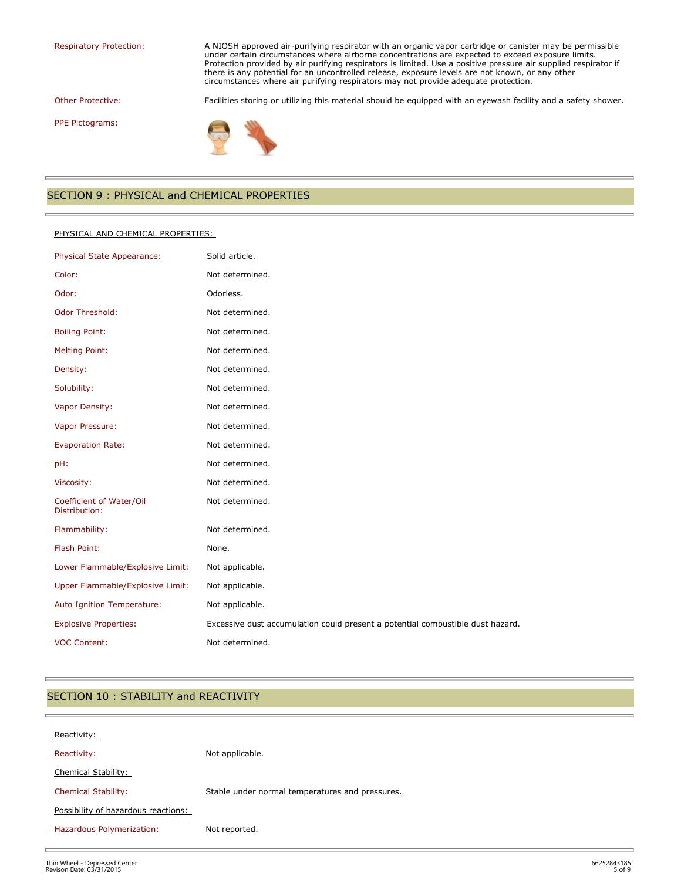Respiratory Protection: A NIOSH approved air-purifying respirator with an organic vapor cartridge or canister may be permissible under certain circumstances where airborne concentrations are expected to exceed exposure limits. Protection provided by air purifying respirators is limited. Use a positive pressure air supplied respirator if there is any potential for an uncontrolled release, exposure levels are not known, or any other circumstances where air purifying respirators may not provide adequate protection.

Other Protective: Facilities storing or utilizing this material should be equipped with an eyewash facility and a safety shower.

PPE Pictograms:



# SECTION 9 : PHYSICAL and CHEMICAL PROPERTIES

#### PHYSICAL AND CHEMICAL PROPERTIES:

| Physical State Appearance:                | Solid article.                                                                 |
|-------------------------------------------|--------------------------------------------------------------------------------|
| Color:                                    | Not determined.                                                                |
| Odor:                                     | Odorless.                                                                      |
| Odor Threshold:                           | Not determined.                                                                |
| <b>Boiling Point:</b>                     | Not determined.                                                                |
| <b>Melting Point:</b>                     | Not determined.                                                                |
| Density:                                  | Not determined.                                                                |
| Solubility:                               | Not determined.                                                                |
| Vapor Density:                            | Not determined.                                                                |
| Vapor Pressure:                           | Not determined.                                                                |
| <b>Evaporation Rate:</b>                  | Not determined.                                                                |
| pH:                                       | Not determined.                                                                |
| Viscosity:                                | Not determined.                                                                |
| Coefficient of Water/Oil<br>Distribution: | Not determined.                                                                |
| Flammability:                             | Not determined.                                                                |
| Flash Point:                              | None.                                                                          |
| Lower Flammable/Explosive Limit:          | Not applicable.                                                                |
| Upper Flammable/Explosive Limit:          | Not applicable.                                                                |
| Auto Ignition Temperature:                | Not applicable.                                                                |
| <b>Explosive Properties:</b>              | Excessive dust accumulation could present a potential combustible dust hazard. |
| <b>VOC Content:</b>                       | Not determined.                                                                |

#### SECTION 10 : STABILITY and REACTIVITY

| Reactivity:                         |                                                 |
|-------------------------------------|-------------------------------------------------|
| Reactivity:                         | Not applicable.                                 |
| Chemical Stability:                 |                                                 |
| <b>Chemical Stability:</b>          | Stable under normal temperatures and pressures. |
| Possibility of hazardous reactions: |                                                 |
| Hazardous Polymerization:           | Not reported.                                   |
|                                     |                                                 |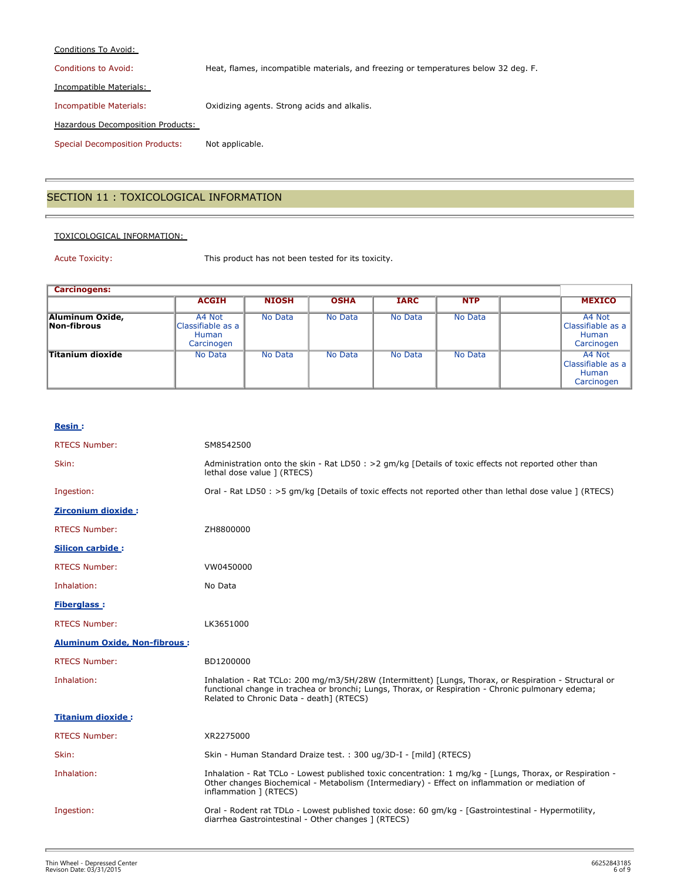#### Conditions To Avoid:

Conditions to Avoid: Heat, flames, incompatible materials, and freezing or temperatures below 32 deg. F.

Incompatible Materials:

Incompatible Materials: Oxidizing agents. Strong acids and alkalis.

Hazardous Decomposition Products:

Special Decomposition Products: Not applicable.

# SECTION 11 : TOXICOLOGICAL INFORMATION

#### TOXICOLOGICAL INFORMATION:

Acute Toxicity: This product has not been tested for its toxicity.

| <b>Carcinogens:</b>            |                                                    |              |             |             |            |  |                                                    |
|--------------------------------|----------------------------------------------------|--------------|-------------|-------------|------------|--|----------------------------------------------------|
|                                | <b>ACGIH</b>                                       | <b>NIOSH</b> | <b>OSHA</b> | <b>IARC</b> | <b>NTP</b> |  | <b>MEXICO</b>                                      |
| Aluminum Oxide,<br>Non-fibrous | A4 Not<br>Classifiable as a<br>Human<br>Carcinogen | No Data      | No Data     | No Data     | No Data    |  | A4 Not<br>Classifiable as a<br>Human<br>Carcinogen |
| <b>Titanium dioxide</b>        | No Data                                            | No Data      | No Data     | No Data     | No Data    |  | A4 Not<br>Classifiable as a<br>Human<br>Carcinogen |

#### **Resin :**

| <b>RTECS Number:</b>                | SM8542500                                                                                                                                                                                                                                              |
|-------------------------------------|--------------------------------------------------------------------------------------------------------------------------------------------------------------------------------------------------------------------------------------------------------|
| Skin:                               | Administration onto the skin - Rat LD50 : >2 qm/kg [Details of toxic effects not reported other than<br>lethal dose value ] (RTECS)                                                                                                                    |
| Ingestion:                          | Oral - Rat LD50 : >5 qm/kg [Details of toxic effects not reported other than lethal dose value ] (RTECS)                                                                                                                                               |
| <b>Zirconium dioxide:</b>           |                                                                                                                                                                                                                                                        |
| <b>RTECS Number:</b>                | ZH8800000                                                                                                                                                                                                                                              |
| <b>Silicon carbide:</b>             |                                                                                                                                                                                                                                                        |
| <b>RTECS Number:</b>                | VW0450000                                                                                                                                                                                                                                              |
| Inhalation:                         | No Data                                                                                                                                                                                                                                                |
| <b>Fiberglass:</b>                  |                                                                                                                                                                                                                                                        |
| <b>RTECS Number:</b>                | LK3651000                                                                                                                                                                                                                                              |
| <b>Aluminum Oxide, Non-fibrous:</b> |                                                                                                                                                                                                                                                        |
| <b>RTECS Number:</b>                | BD1200000                                                                                                                                                                                                                                              |
| Inhalation:                         | Inhalation - Rat TCLo: 200 mg/m3/5H/28W (Intermittent) [Lungs, Thorax, or Respiration - Structural or<br>functional change in trachea or bronchi; Lungs, Thorax, or Respiration - Chronic pulmonary edema;<br>Related to Chronic Data - death] (RTECS) |
| <b>Titanium dioxide:</b>            |                                                                                                                                                                                                                                                        |
| <b>RTECS Number:</b>                | XR2275000                                                                                                                                                                                                                                              |
| Skin:                               | Skin - Human Standard Draize test. : 300 ug/3D-I - [mild] (RTECS)                                                                                                                                                                                      |
| Inhalation:                         | Inhalation - Rat TCLo - Lowest published toxic concentration: 1 mg/kg - [Lungs, Thorax, or Respiration -<br>Other changes Biochemical - Metabolism (Intermediary) - Effect on inflammation or mediation of<br>inflammation ] (RTECS)                   |
| Ingestion:                          | Oral - Rodent rat TDLo - Lowest published toxic dose: 60 qm/kq - [Gastrointestinal - Hypermotility,<br>diarrhea Gastrointestinal - Other changes ] (RTECS)                                                                                             |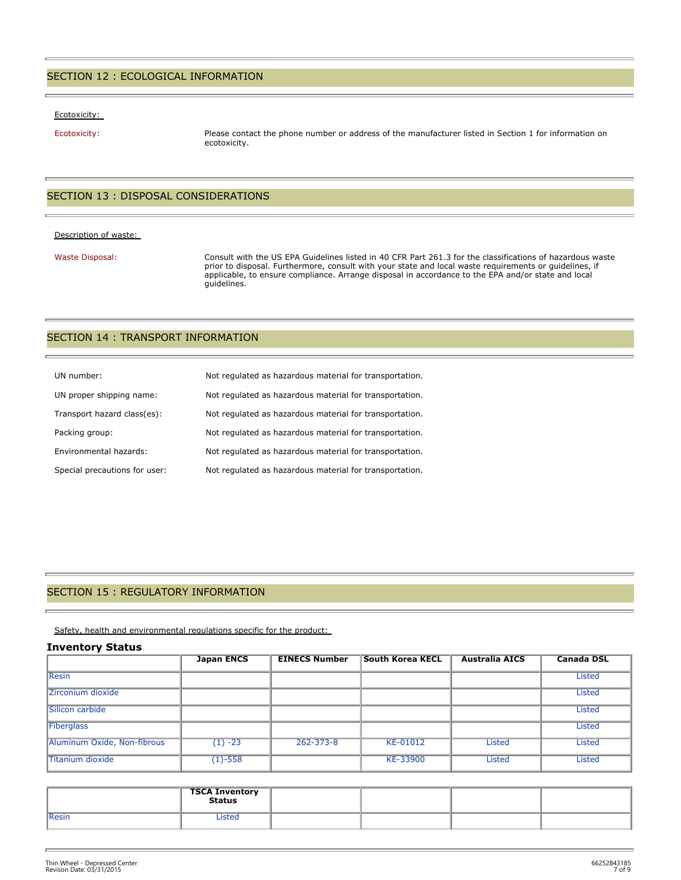#### SECTION 12 : ECOLOGICAL INFORMATION

#### Ecotoxicity:

Ecotoxicity: Please contact the phone number or address of the manufacturer listed in Section 1 for information on ecotoxicity.

#### SECTION 13 : DISPOSAL CONSIDERATIONS

#### Description of waste:

Waste Disposal: Consult with the US EPA Guidelines listed in 40 CFR Part 261.3 for the classifications of hazardous waste prior to disposal. Furthermore, consult with your state and local waste requirements or guidelines, if applicable, to ensure compliance. Arrange disposal in accordance to the EPA and/or state and local guidelines.

#### SECTION 14 : TRANSPORT INFORMATION

| UN number:                    | Not regulated as hazardous material for transportation. |
|-------------------------------|---------------------------------------------------------|
| UN proper shipping name:      | Not regulated as hazardous material for transportation. |
| Transport hazard class(es):   | Not regulated as hazardous material for transportation. |
| Packing group:                | Not regulated as hazardous material for transportation. |
| Environmental hazards:        | Not regulated as hazardous material for transportation. |
| Special precautions for user: | Not regulated as hazardous material for transportation. |

#### SECTION 15 : REGULATORY INFORMATION

Safety, health and environmental regulations specific for the product:

#### **Inventory Status**

|                             | <b>Japan ENCS</b> | <b>EINECS Number</b> | <b>South Korea KECL</b> | <b>Australia AICS</b> | <b>Canada DSL</b> |
|-----------------------------|-------------------|----------------------|-------------------------|-----------------------|-------------------|
| <b>Resin</b>                |                   |                      |                         |                       | <b>Listed</b>     |
| Zirconium dioxide           |                   |                      |                         |                       | <b>Listed</b>     |
| Silicon carbide             |                   |                      |                         |                       | <b>Listed</b>     |
| Fiberglass                  |                   |                      |                         |                       | <b>Listed</b>     |
| Aluminum Oxide, Non-fibrous | $(1) -23$         | $262 - 373 - 8$      | KE-01012                | <b>Listed</b>         | <b>Listed</b>     |
| Titanium dioxide            | $(1) - 558$       |                      | KE-33900                | <b>Listed</b>         | <b>Listed</b>     |

|              | <b>TSCA Inventory</b><br>Status |  |  |
|--------------|---------------------------------|--|--|
| <b>Resin</b> | ister                           |  |  |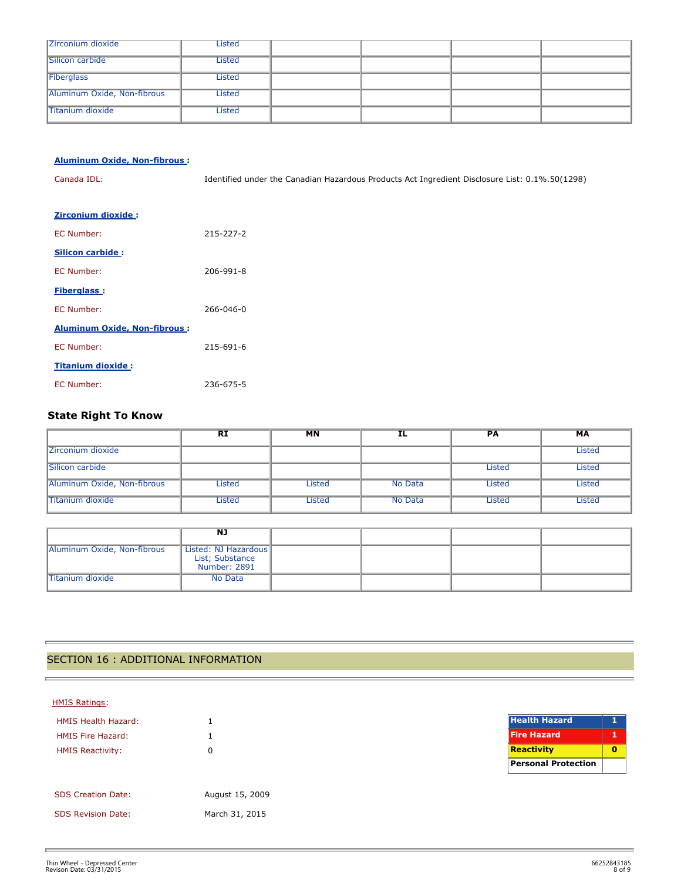| Zirconium dioxide           | Listed        |  |  |
|-----------------------------|---------------|--|--|
| Silicon carbide             | Listed        |  |  |
| Fiberglass                  | <b>Listed</b> |  |  |
| Aluminum Oxide, Non-fibrous | Listed        |  |  |
| Titanium dioxide            | Listed        |  |  |

| <b>Aluminum Oxide, Non-fibrous:</b> |                                                                                                |
|-------------------------------------|------------------------------------------------------------------------------------------------|
| Canada IDL:                         | Identified under the Canadian Hazardous Products Act Ingredient Disclosure List: 0.1%.50(1298) |
|                                     |                                                                                                |
| <b>Zirconium dioxide:</b>           |                                                                                                |
| EC Number:                          | 215-227-2                                                                                      |
| Silicon carbide:                    |                                                                                                |
| EC Number:                          | 206-991-8                                                                                      |
| <b>Fiberglass:</b>                  |                                                                                                |
| EC Number:                          | 266-046-0                                                                                      |
| <b>Aluminum Oxide, Non-fibrous:</b> |                                                                                                |
| EC Number:                          | 215-691-6                                                                                      |
| <b>Titanium dioxide:</b>            |                                                                                                |
| EC Number:                          | 236-675-5                                                                                      |

# **State Right To Know**

|                             | <b>RI</b> | <b>MN</b> | IL      | PА     | МA     |
|-----------------------------|-----------|-----------|---------|--------|--------|
| Zirconium dioxide           |           |           |         |        | Listed |
| Silicon carbide             |           |           |         | Listed | Listed |
| Aluminum Oxide, Non-fibrous | Listed    | Listed    | No Data | Listed | Listed |
| <b>Titanium dioxide</b>     | Listed    | Listed    | No Data | Listed | Listed |

|                             | NJ                                                      |  |  |
|-----------------------------|---------------------------------------------------------|--|--|
| Aluminum Oxide, Non-fibrous | Listed: NJ Hazardous<br>List; Substance<br>Number: 2891 |  |  |
| Titanium dioxide            | No Data                                                 |  |  |

# SECTION 16 : ADDITIONAL INFORMATION

#### HMIS Ratings:

ċ

| <b>HMIS Health Hazard:</b> | 1               |
|----------------------------|-----------------|
| <b>HMIS Fire Hazard:</b>   | 1               |
| <b>HMIS Reactivity:</b>    | O               |
|                            |                 |
|                            |                 |
| <b>SDS Creation Date:</b>  | August 15, 2009 |
| <b>SDS Revision Date:</b>  | March 31, 2015  |

| <b>Health Hazard</b>       |  |
|----------------------------|--|
| <b>Fire Hazard</b>         |  |
| <b>Reactivity</b>          |  |
| <b>Personal Protection</b> |  |